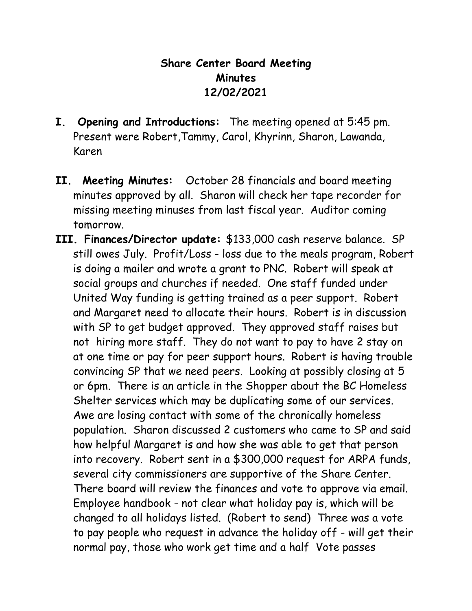## **Share Center Board Meeting Minutes 12/02/2021**

- **I. Opening and Introductions:** The meeting opened at 5:45 pm. Present were Robert,Tammy, Carol, Khyrinn, Sharon, Lawanda, Karen
- **II. Meeting Minutes:** October 28 financials and board meeting minutes approved by all. Sharon will check her tape recorder for missing meeting minuses from last fiscal year. Auditor coming tomorrow.
- **III. Finances/Director update:** \$133,000 cash reserve balance. SP still owes July. Profit/Loss - loss due to the meals program, Robert is doing a mailer and wrote a grant to PNC. Robert will speak at social groups and churches if needed. One staff funded under United Way funding is getting trained as a peer support. Robert and Margaret need to allocate their hours. Robert is in discussion with SP to get budget approved. They approved staff raises but not hiring more staff. They do not want to pay to have 2 stay on at one time or pay for peer support hours. Robert is having trouble convincing SP that we need peers. Looking at possibly closing at 5 or 6pm. There is an article in the Shopper about the BC Homeless Shelter services which may be duplicating some of our services. Awe are losing contact with some of the chronically homeless population. Sharon discussed 2 customers who came to SP and said how helpful Margaret is and how she was able to get that person into recovery. Robert sent in a \$300,000 request for ARPA funds, several city commissioners are supportive of the Share Center. There board will review the finances and vote to approve via email. Employee handbook - not clear what holiday pay is, which will be changed to all holidays listed. (Robert to send) Three was a vote to pay people who request in advance the holiday off - will get their normal pay, those who work get time and a half Vote passes